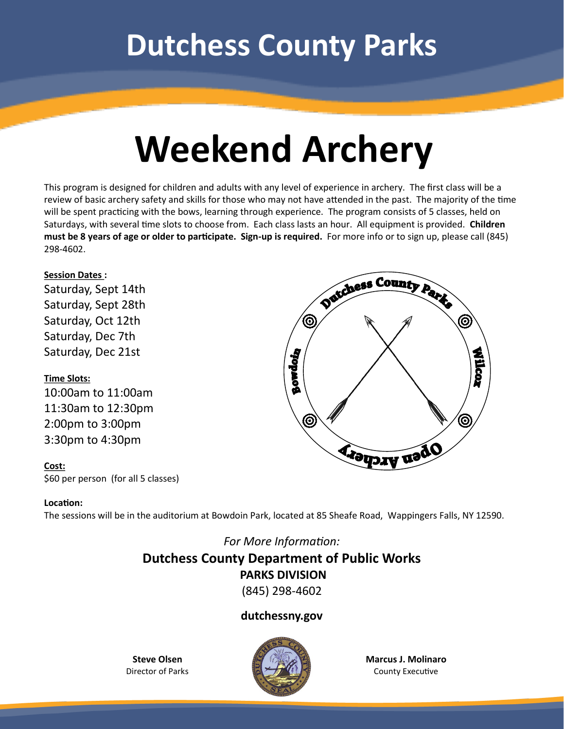## **Dutchess County Parks**

# **Weekend Archery**

This program is designed for children and adults with any level of experience in archery. The first class will be a review of basic archery safety and skills for those who may not have attended in the past. The majority of the time will be spent practicing with the bows, learning through experience. The program consists of 5 classes, held on Saturdays, with several time slots to choose from. Each class lasts an hour. All equipment is provided. **Children must be 8 years of age or older to participate. Sign-up is required.** For more info or to sign up, please call (845) 298-4602.

#### **Session Dates :**

Saturday, Sept 14th Saturday, Sept 28th Saturday, Oct 12th Saturday, Dec 7th Saturday, Dec 21st

#### **Time Slots:**

10:00am to 11:00am 11:30am to 12:30pm 2:00pm to 3:00pm 3:30pm to 4:30pm

#### **Cost:**

\$60 per person (for all 5 classes)



#### **Location:**

The sessions will be in the auditorium at Bowdoin Park, located at 85 Sheafe Road, Wappingers Falls, NY 12590.

### *For More Information:* **Dutchess County Department of Public Works PARKS DIVISION**

(845) 298-4602

#### **dutchessny.gov**

**Steve Olsen** Director of Parks



**Marcus J. Molinaro** County Executive